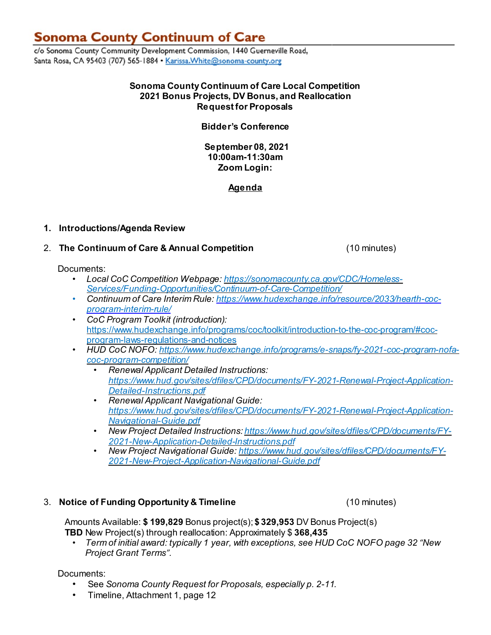# **Sonoma County Continuum of Care**

c/o Sonoma County Community Development Commission, 1440 Guerneville Road, Santa Rosa, CA 95403 (707) 565-1884 · Karissa. White@sonoma-county.org

## **Sonoma County Continuum of Care Local Competition 2021 Bonus Projects, DV Bonus, and Reallocation Request for Proposals**

# **Bidder's Conference**

**September 08, 2021 10:00am-11:30am Zoom Login:**

**Agenda**

# **1. Introductions/Agenda Review**

# 2. **The Continuum of Care & Annual Competition** (10 minutes)

Documents:

- *Local CoC Competition Webpage[: https://sonomacounty.ca.gov/CDC/Homeless-](https://sonomacounty.ca.gov/CDC/Homeless-Services/Funding-Opportunities/Continuum-of-Care-Competition/)[Services/Funding-Opportunities/Continuum-of-Care-Competition/](https://sonomacounty.ca.gov/CDC/Homeless-Services/Funding-Opportunities/Continuum-of-Care-Competition/)*
- *Continuum of Care Interim Rule: [https://www.hudexchange.info/resource/2033/hearth-coc](https://www.hudexchange.info/resource/2033/hearth-coc-program-interim-rule/)[program-interim-rule/](https://www.hudexchange.info/resource/2033/hearth-coc-program-interim-rule/)*
- *CoC Program Toolkit (introduction):* [https://www.hudexchange.info/programs/coc/toolkit/introduction-to-the-coc-program/#coc](https://www.hudexchange.info/programs/coc/toolkit/introduction-to-the-coc-program/#coc-program-laws-regulations-and-notices)[program-laws-regulations-and-notices](https://www.hudexchange.info/programs/coc/toolkit/introduction-to-the-coc-program/#coc-program-laws-regulations-and-notices)
- *HUD CoC NOFO: [https://www.hudexchange.info/programs/e-snaps/fy-2021-coc-program-nofa](https://www.hudexchange.info/programs/e-snaps/fy-2021-coc-program-nofa-coc-program-competition/)[coc-program-competition/](https://www.hudexchange.info/programs/e-snaps/fy-2021-coc-program-nofa-coc-program-competition/)*
	- *Renewal Applicant Detailed Instructions: [https://www.hud.gov/sites/dfiles/CPD/documents/FY-2021-Renewal-Project-Application-](https://www.hud.gov/sites/dfiles/CPD/documents/FY-2021-Renewal-Project-Application-Detailed-Instructions.pdf)[Detailed-Instructions.pdf](https://www.hud.gov/sites/dfiles/CPD/documents/FY-2021-Renewal-Project-Application-Detailed-Instructions.pdf)*
	- *Renewal Applicant Navigational Guide: [https://www.hud.gov/sites/dfiles/CPD/documents/FY-2021-Renewal-Project-Application-](https://www.hud.gov/sites/dfiles/CPD/documents/FY-2021-Renewal-Project-Application-Navigational-Guide.pdf)[Navigational-Guide.pdf](https://www.hud.gov/sites/dfiles/CPD/documents/FY-2021-Renewal-Project-Application-Navigational-Guide.pdf)*
	- *New Project Detailed Instructions: [https://www.hud.gov/sites/dfiles/CPD/documents/FY-](https://www.hud.gov/sites/dfiles/CPD/documents/FY-2021-New-Application-Detailed-Instructions.pdf)[2021-New-Application-Detailed-Instructions.pdf](https://www.hud.gov/sites/dfiles/CPD/documents/FY-2021-New-Application-Detailed-Instructions.pdf)*
	- *New Project Navigational Guide: [https://www.hud.gov/sites/dfiles/CPD/documents/FY-](https://www.hud.gov/sites/dfiles/CPD/documents/FY-2021-New-Project-Application-Navigational-Guide.pdf)[2021-New-Project-Application-Navigational-Guide.pdf](https://www.hud.gov/sites/dfiles/CPD/documents/FY-2021-New-Project-Application-Navigational-Guide.pdf)*

# 3. **Notice of Funding Opportunity & Timeline** (10 minutes)

Amounts Available: **\$ 199,829** Bonus project(s); **\$ 329,953** DV Bonus Project(s) **TBD** New Project(s) through reallocation: Approximately \$ **368,435**

• *Term of initial award: typically 1 year, with exceptions, see HUD CoC NOFO page 32 "New Project Grant Terms".*

Documents:

- *•* See *Sonoma County Request for Proposals, especially p. 2-11.*
- *•* Timeline, Attachment 1, page 12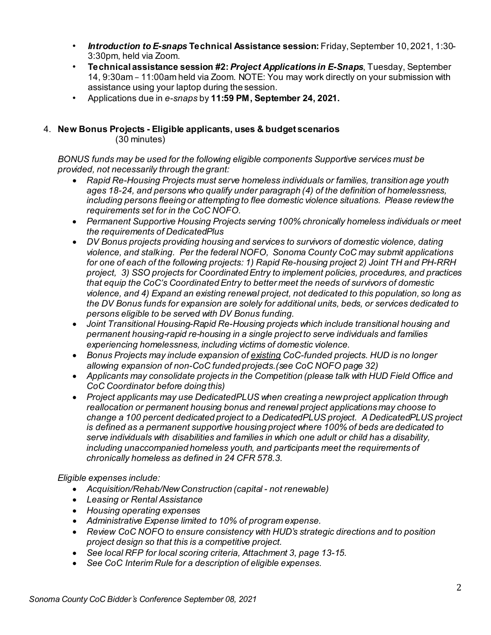- *Introduction to E-snaps* **Technical Assistance session:** Friday,September 10, 2021, 1:30- 3:30pm, held via Zoom.
- **Technical assistance session #2:** *Project Applications in E-Snaps*, Tuesday, September 14, 9:30am – 11:00am held via Zoom. NOTE: You may work directly on your submission with assistance using your laptop during the session.
- Applications due in *e-snaps* by **11:59 PM, September 24, 2021.**

# 4. **New Bonus Projects - Eligible applicants, uses & budget scenarios**

(30 minutes)

*BONUS funds may be used for the following eligible components Supportive services must be provided, not necessarily through the grant:*

- *Rapid Re-Housing Projects must serve homeless individuals or families, transition age youth ages 18-24, and persons who qualify under paragraph (4) of the definition of homelessness, including persons fleeing or attempting to flee domestic violence situations. Please reviewthe requirements set for in the CoC NOFO.*
- *Permanent Supportive Housing Projects serving 100% chronically homeless individuals or meet the requirements of DedicatedPlus*
- *DV Bonus projects providing housing and services to survivors of domestic violence, dating violence, and stalking. Per the federal NOFO, Sonoma County CoC may submit applications for one of each of the following projects: 1) Rapid Re-housing project 2) Joint TH and PH-RRH project, 3) SSO projects for CoordinatedEntry to implement policies, procedures, and practices that equip the CoC's CoordinatedEntry to better meet the needs of survivors of domestic violence, and 4) Expand an existing renewal project, not dedicated to this population, so long as the DV Bonus funds for expansion are solely for additional units, beds, or services dedicated to persons eligible to be served with DV Bonus funding.*
- *Joint Transitional Housing-Rapid Re-Housing projects which include transitional housing and permanent housing-rapid re-housing in a single project to serve individuals and families experiencing homelessness, including victims of domestic violence.*
- *Bonus Projects may include expansion of existing CoC-funded projects. HUD is no longer allowing expansion of non-CoC funded projects.(see CoC NOFO page 32)*
- *Applicants may consolidate projects in the Competition (please talk with HUD Field Office and CoC Coordinator before doing this)*
- *Project applicants may use DedicatedPLUS when creating a newproject application through reallocation or permanent housing bonus and renewal project applications may choose to change a 100 percent dedicated project to a DedicatedPLUS project. A DedicatedPLUS project is defined as a permanent supportive housing project where 100% of beds are dedicated to serve individuals with disabilities and families in which one adult or child has a disability, including unaccompanied homeless youth, and participants meet the requirements of chronically homeless as defined in 24 CFR 578.3.*

#### *Eligible expenses include:*

- *Acquisition/Rehab/NewConstruction (capital not renewable)*
- *Leasing or Rental Assistance*
- *Housing operating expenses*
- *Administrative Expense limited to 10% of program expense.*
- *Review CoC NOFO to ensure consistency with HUD's strategic directions and to position project design so that this is a competitive project.*
- *See local RFP for local scoring criteria, Attachment 3, page 13-15.*
- *See CoC Interim Rule for a description of eligible expenses.*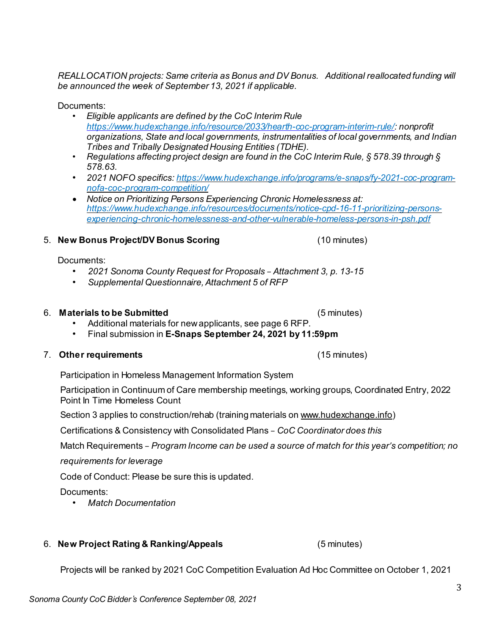*REALLOCATION projects: Same criteria as Bonus and DV Bonus. Additional reallocated funding will be announced the week of September 13, 2021 if applicable.* 

Documents:

- *Eligible applicants are defined by the CoC Interim Rule <https://www.hudexchange.info/resource/2033/hearth-coc-program-interim-rule/>: nonprofit organizations, State and local governments, instrumentalities of local governments, and Indian Tribes and Tribally Designated Housing Entities (TDHE).*
- *Regulations affecting project design are found in the CoC Interim Rule, § 578.39 through § 578.63.*
- *2021 NOFO specifics[: https://www.hudexchange.info/programs/e-snaps/fy-2021-coc-program](https://www.hudexchange.info/programs/e-snaps/fy-2021-coc-program-nofa-coc-program-competition/)[nofa-coc-program-competition/](https://www.hudexchange.info/programs/e-snaps/fy-2021-coc-program-nofa-coc-program-competition/)*
- *Notice on Prioritizing Persons Experiencing Chronic Homelessness at: [https://www.hudexchange.info/resources/documents/notice-cpd-16-11-prioritizing-persons](https://www.hudexchange.info/resources/documents/notice-cpd-16-11-prioritizing-persons-experiencing-chronic-homelessness-and-other-vulnerable-homeless-persons-in-psh.pdf)[experiencing-chronic-homelessness-and-other-vulnerable-homeless-persons-in-psh.pdf](https://www.hudexchange.info/resources/documents/notice-cpd-16-11-prioritizing-persons-experiencing-chronic-homelessness-and-other-vulnerable-homeless-persons-in-psh.pdf)*

5. **New Bonus Project/DV Bonus Scoring** (10 minutes)

Documents:

- *2021 Sonoma County Request for Proposals – Attachment 3, p. 13-15*
- *Supplemental Questionnaire,Attachment 5 of RFP*

# 6. **Materials to be Submitted** (5 minutes)

- Additional materials for newapplicants, see page 6 RFP.
- Final submission in **E-Snaps September 24, 2021 by 11:59pm**

# 7. **Other requirements** (15 minutes)

Participation in Homeless Management Information System

Participation in Continuum of Care membership meetings, working groups, Coordinated Entry, 2022 Point In Time Homeless Count

Section 3 applies to construction/rehab (training materials on [www.hudexchange.info\)](http://www.hudexchange.info/)

Certifications & Consistency with Consolidated Plans – *CoC Coordinator does this*

Match Requirements – *Program Income can be used a source of match for this year's competition; no*

*requirements for leverage*

Code of Conduct: Please be sure this is updated.

Documents:

*• Match Documentation*

6. **New Project Rating & Ranking/Appeals** (5 minutes)

Projects will be ranked by 2021 CoC Competition Evaluation Ad Hoc Committee on October 1, 2021

3